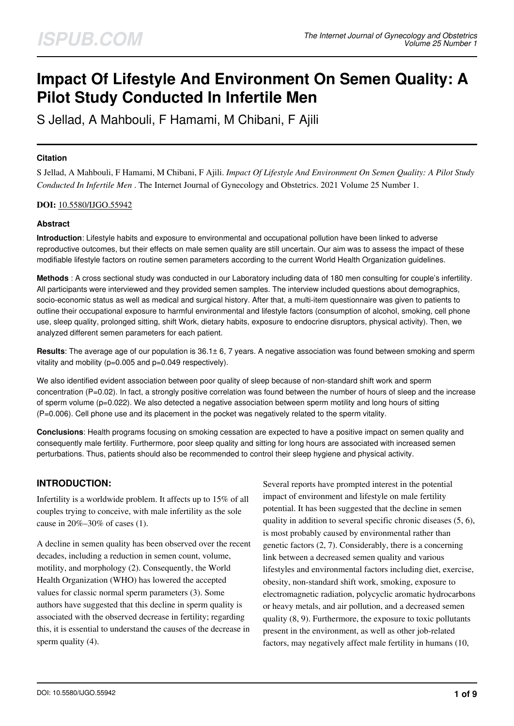# **Impact Of Lifestyle And Environment On Semen Quality: A Pilot Study Conducted In Infertile Men**

S Jellad, A Mahbouli, F Hamami, M Chibani, F Ajili

# **Citation**

S Jellad, A Mahbouli, F Hamami, M Chibani, F Ajili. *Impact Of Lifestyle And Environment On Semen Quality: A Pilot Study Conducted In Infertile Men* . The Internet Journal of Gynecology and Obstetrics. 2021 Volume 25 Number 1.

# **DOI:** [10.5580/IJGO.55942](https://ispub.com/doi/10.5580/IJGO.55942)

# **Abstract**

**Introduction**: Lifestyle habits and exposure to environmental and occupational pollution have been linked to adverse reproductive outcomes, but their effects on male semen quality are still uncertain. Our aim was to assess the impact of these modifiable lifestyle factors on routine semen parameters according to the current World Health Organization guidelines.

**Methods** : A cross sectional study was conducted in our Laboratory including data of 180 men consulting for couple's infertility. All participants were interviewed and they provided semen samples. The interview included questions about demographics, socio-economic status as well as medical and surgical history. After that, a multi-item questionnaire was given to patients to outline their occupational exposure to harmful environmental and lifestyle factors (consumption of alcohol, smoking, cell phone use, sleep quality, prolonged sitting, shift Work, dietary habits, exposure to endocrine disruptors, physical activity). Then, we analyzed different semen parameters for each patient.

**Results**: The average age of our population is 36.1± 6, 7 years. A negative association was found between smoking and sperm vitality and mobility (p=0.005 and p=0.049 respectively).

We also identified evident association between poor quality of sleep because of non-standard shift work and sperm concentration (P=0.02). In fact, a strongly positive correlation was found between the number of hours of sleep and the increase of sperm volume (p=0.022). We also detected a negative association between sperm motility and long hours of sitting (P=0.006). Cell phone use and its placement in the pocket was negatively related to the sperm vitality.

**Conclusions**: Health programs focusing on smoking cessation are expected to have a positive impact on semen quality and consequently male fertility. Furthermore, poor sleep quality and sitting for long hours are associated with increased semen perturbations. Thus, patients should also be recommended to control their sleep hygiene and physical activity.

# **INTRODUCTION:**

Infertility is a worldwide problem. It affects up to 15% of all couples trying to conceive, with male infertility as the sole cause in 20%–30% of cases (1).

A decline in semen quality has been observed over the recent decades, including a reduction in semen count, volume, motility, and morphology (2). Consequently, the World Health Organization (WHO) has lowered the accepted values for classic normal sperm parameters (3). Some authors have suggested that this decline in sperm quality is associated with the observed decrease in fertility; regarding this, it is essential to understand the causes of the decrease in sperm quality (4).

Several reports have prompted interest in the potential impact of environment and lifestyle on male fertility potential. It has been suggested that the decline in semen quality in addition to several specific chronic diseases (5, 6), is most probably caused by environmental rather than genetic factors (2, 7). Considerably, there is a concerning link between a decreased semen quality and various lifestyles and environmental factors including diet, exercise, obesity, non-standard shift work, smoking, exposure to electromagnetic radiation, polycyclic aromatic hydrocarbons or heavy metals, and air pollution, and a decreased semen quality (8, 9). Furthermore, the exposure to toxic pollutants present in the environment, as well as other job-related factors, may negatively affect male fertility in humans (10,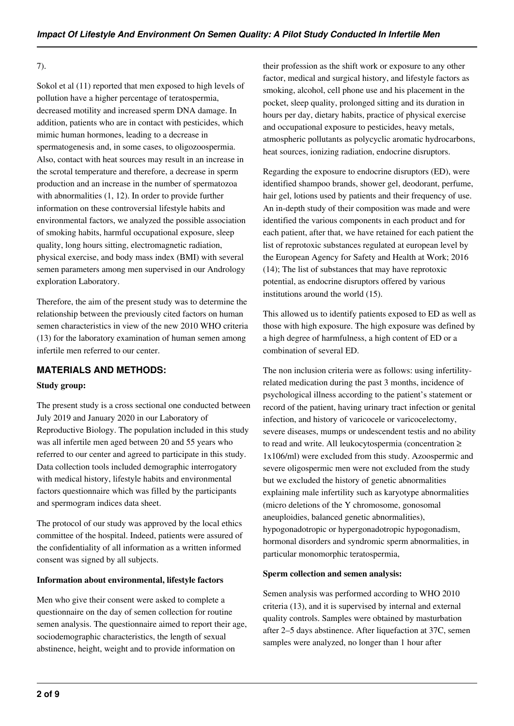## 7).

Sokol et al (11) reported that men exposed to high levels of pollution have a higher percentage of teratospermia, decreased motility and increased sperm DNA damage. In addition, patients who are in contact with pesticides, which mimic human hormones, leading to a decrease in spermatogenesis and, in some cases, to oligozoospermia. Also, contact with heat sources may result in an increase in the scrotal temperature and therefore, a decrease in sperm production and an increase in the number of spermatozoa with abnormalities (1, 12). In order to provide further information on these controversial lifestyle habits and environmental factors, we analyzed the possible association of smoking habits, harmful occupational exposure, sleep quality, long hours sitting, electromagnetic radiation, physical exercise, and body mass index (BMI) with several semen parameters among men supervised in our Andrology exploration Laboratory.

Therefore, the aim of the present study was to determine the relationship between the previously cited factors on human semen characteristics in view of the new 2010 WHO criteria (13) for the laboratory examination of human semen among infertile men referred to our center.

# **MATERIALS AND METHODS:**

# **Study group:**

The present study is a cross sectional one conducted between July 2019 and January 2020 in our Laboratory of Reproductive Biology. The population included in this study was all infertile men aged between 20 and 55 years who referred to our center and agreed to participate in this study. Data collection tools included demographic interrogatory with medical history, lifestyle habits and environmental factors questionnaire which was filled by the participants and spermogram indices data sheet.

The protocol of our study was approved by the local ethics committee of the hospital. Indeed, patients were assured of the confidentiality of all information as a written informed consent was signed by all subjects.

#### **Information about environmental, lifestyle factors**

Men who give their consent were asked to complete a questionnaire on the day of semen collection for routine semen analysis. The questionnaire aimed to report their age, sociodemographic characteristics, the length of sexual abstinence, height, weight and to provide information on

their profession as the shift work or exposure to any other factor, medical and surgical history, and lifestyle factors as smoking, alcohol, cell phone use and his placement in the pocket, sleep quality, prolonged sitting and its duration in hours per day, dietary habits, practice of physical exercise and occupational exposure to pesticides, heavy metals, atmospheric pollutants as polycyclic aromatic hydrocarbons, heat sources, ionizing radiation, endocrine disruptors.

Regarding the exposure to endocrine disruptors (ED), were identified shampoo brands, shower gel, deodorant, perfume, hair gel, lotions used by patients and their frequency of use. An in-depth study of their composition was made and were identified the various components in each product and for each patient, after that, we have retained for each patient the list of reprotoxic substances regulated at european level by the European Agency for Safety and Health at Work; 2016 (14); The list of substances that may have reprotoxic potential, as endocrine disruptors offered by various institutions around the world (15).

This allowed us to identify patients exposed to ED as well as those with high exposure. The high exposure was defined by a high degree of harmfulness, a high content of ED or a combination of several ED.

The non inclusion criteria were as follows: using infertilityrelated medication during the past 3 months, incidence of psychological illness according to the patient's statement or record of the patient, having urinary tract infection or genital infection, and history of varicocele or varicocelectomy, severe diseases, mumps or undescendent testis and no ability to read and write. All leukocytospermia (concentration ≥ 1x106/ml) were excluded from this study. Azoospermic and severe oligospermic men were not excluded from the study but we excluded the history of genetic abnormalities explaining male infertility such as karyotype abnormalities (micro deletions of the Y chromosome, gonosomal aneuploidies, balanced genetic abnormalities), hypogonadotropic or hypergonadotropic hypogonadism, hormonal disorders and syndromic sperm abnormalities, in particular monomorphic teratospermia,

#### **Sperm collection and semen analysis:**

Semen analysis was performed according to WHO 2010 criteria (13), and it is supervised by internal and external quality controls. Samples were obtained by masturbation after 2–5 days abstinence. After liquefaction at 37C, semen samples were analyzed, no longer than 1 hour after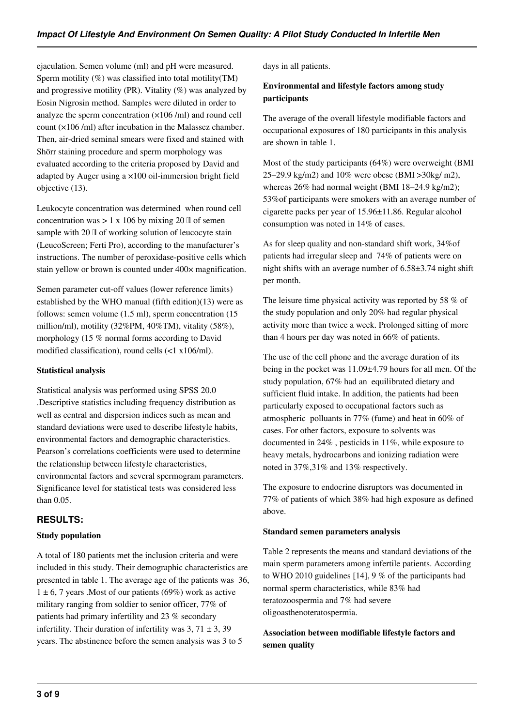ejaculation. Semen volume (ml) and pH were measured. Sperm motility (%) was classified into total motility(TM) and progressive motility (PR). Vitality  $(\%)$  was analyzed by Eosin Nigrosin method. Samples were diluted in order to analyze the sperm concentration (×106 /ml) and round cell count (×106 /ml) after incubation in the Malassez chamber. Then, air-dried seminal smears were fixed and stained with Shörr staining procedure and sperm morphology was evaluated according to the criteria proposed by David and adapted by Auger using a ×100 oil-immersion bright field objective (13).

Leukocyte concentration was determined when round cell concentration was  $> 1 \times 106$  by mixing 20 ll of semen sample with 20 ll of working solution of leucocyte stain (LeucoScreen; Ferti Pro), according to the manufacturer's instructions. The number of peroxidase-positive cells which stain yellow or brown is counted under 400× magnification.

Semen parameter cut-off values (lower reference limits) established by the WHO manual (fifth edition)(13) were as follows: semen volume (1.5 ml), sperm concentration (15 million/ml), motility (32%PM, 40%TM), vitality (58%), morphology (15 % normal forms according to David modified classification), round cells (<1 x106/ml).

# **Statistical analysis**

Statistical analysis was performed using SPSS 20.0 .Descriptive statistics including frequency distribution as well as central and dispersion indices such as mean and standard deviations were used to describe lifestyle habits, environmental factors and demographic characteristics. Pearson's correlations coefficients were used to determine the relationship between lifestyle characteristics, environmental factors and several spermogram parameters. Significance level for statistical tests was considered less than 0.05.

# **RESULTS:**

# **Study population**

A total of 180 patients met the inclusion criteria and were included in this study. Their demographic characteristics are presented in table 1. The average age of the patients was 36,  $1 \pm 6$ , 7 years . Most of our patients (69%) work as active military ranging from soldier to senior officer, 77% of patients had primary infertility and 23 % secondary infertility. Their duration of infertility was  $3, 71 \pm 3, 39$ years. The abstinence before the semen analysis was 3 to 5

days in all patients.

# **Environmental and lifestyle factors among study participants**

The average of the overall lifestyle modifiable factors and occupational exposures of 180 participants in this analysis are shown in table 1.

Most of the study participants (64%) were overweight (BMI 25–29.9 kg/m2) and 10% were obese (BMI >30kg/ m2), whereas 26% had normal weight (BMI 18–24.9 kg/m2); 53%of participants were smokers with an average number of cigarette packs per year of 15.96±11.86. Regular alcohol consumption was noted in 14% of cases.

As for sleep quality and non-standard shift work, 34%of patients had irregular sleep and 74% of patients were on night shifts with an average number of 6.58±3.74 night shift per month.

The leisure time physical activity was reported by 58 % of the study population and only 20% had regular physical activity more than twice a week. Prolonged sitting of more than 4 hours per day was noted in 66% of patients.

The use of the cell phone and the average duration of its being in the pocket was 11.09±4.79 hours for all men. Of the study population, 67% had an equilibrated dietary and sufficient fluid intake. In addition, the patients had been particularly exposed to occupational factors such as atmospheric polluants in 77% (fume) and heat in 60% of cases. For other factors, exposure to solvents was documented in 24% , pesticids in 11%, while exposure to heavy metals, hydrocarbons and ionizing radiation were noted in 37%,31% and 13% respectively.

The exposure to endocrine disruptors was documented in 77% of patients of which 38% had high exposure as defined above.

#### **Standard semen parameters analysis**

Table 2 represents the means and standard deviations of the main sperm parameters among infertile patients. According to WHO 2010 guidelines [14], 9 % of the participants had normal sperm characteristics, while 83% had teratozoospermia and 7% had severe oligoasthenoteratospermia.

**Association between modifiable lifestyle factors and semen quality**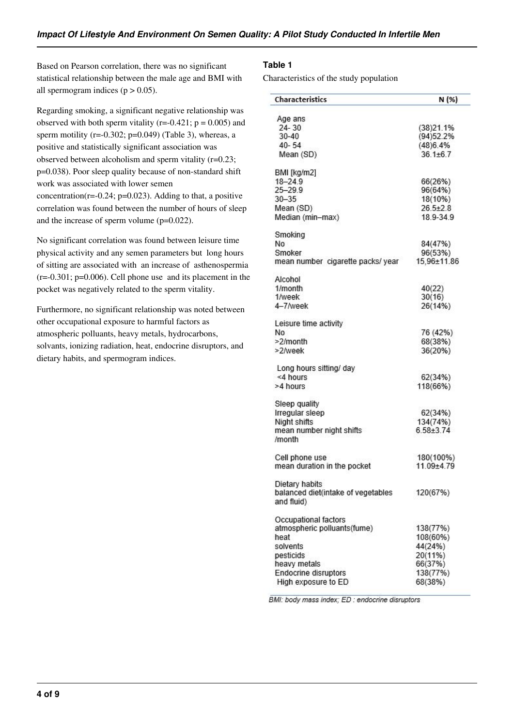Based on Pearson correlation, there was no significant statistical relationship between the male age and BMI with all spermogram indices  $(p > 0.05)$ .

Regarding smoking, a significant negative relationship was observed with both sperm vitality ( $r=-0.421$ ;  $p = 0.005$ ) and sperm motility ( $r=-0.302$ ;  $p=0.049$ ) (Table 3), whereas, a positive and statistically significant association was observed between alcoholism and sperm vitality (r=0.23; p=0.038). Poor sleep quality because of non-standard shift work was associated with lower semen concentration( $r=-0.24$ ;  $p=0.023$ ). Adding to that, a positive correlation was found between the number of hours of sleep and the increase of sperm volume (p=0.022).

No significant correlation was found between leisure time physical activity and any semen parameters but long hours of sitting are associated with an increase of asthenospermia  $(r=-0.301; p=0.006)$ . Cell phone use and its placement in the pocket was negatively related to the sperm vitality.

Furthermore, no significant relationship was noted between other occupational exposure to harmful factors as atmospheric polluants, heavy metals, hydrocarbons, solvants, ionizing radiation, heat, endocrine disruptors, and dietary habits, and spermogram indices.

# **Table 1**

Characteristics of the study population

| <b>Characteristics</b>                           | N (%)          |
|--------------------------------------------------|----------------|
| Age ans                                          |                |
| $24 - 30$                                        | (38)21.1%      |
| 30-40                                            | (94)52.2%      |
| $40 - 54$                                        | (48)6.4%       |
| Mean (SD)                                        | $361+67$       |
| BMI [kg/m2]                                      |                |
| 18-24.9                                          | 66(26%)        |
| 25-29.9                                          | 96(64%)        |
| $30 - 35$                                        | 18(10%)        |
| Mean (SD)                                        | $26.5 \pm 2.8$ |
| Median (min-max)                                 | 18.9-34.9      |
| Smoking                                          |                |
| No                                               | 84(47%)        |
| Smoker                                           | 96(53%)        |
| mean number cigarette packs/year                 | 15,96±11.86    |
| Alcohol                                          |                |
| 1/month                                          | 40(22)         |
| 1/week                                           | 30(16)         |
| 4-7/week                                         | 26(14%)        |
| Leisure time activity                            |                |
| No                                               | 76 (42%)       |
| >2/month                                         | 68(38%)        |
| >2/week                                          | 36(20%)        |
| Long hours sitting/ day                          |                |
| <4 hours                                         | 62(34%)        |
| >4 hours                                         | 118(66%)       |
| Sleep quality                                    |                |
| Irregular sleep                                  | 62(34%)        |
| Night shifts                                     | 134(74%)       |
| mean number night shifts<br>/month               | $6.58 + 3.74$  |
|                                                  |                |
| Cell phone use                                   | 180(100%)      |
| mean duration in the pocket                      | 11.09±4.79     |
| Dietary habits                                   |                |
| balanced diet(intake of vegetables<br>and fluid) | 120(67%)       |
| Occupational factors                             |                |
| atmospheric polluants(fume)                      | 138(77%)       |
| heat                                             | 108(60%)       |
| solvents                                         | 44(24%)        |
| pesticids                                        | 20(11%)        |
| heavy metals                                     | 66(37%)        |
| <b>Endocrine disruptors</b>                      | 138(77%)       |
| High exposure to ED                              | 68(38%)        |

BMI: body mass index; ED : endocrine disruptors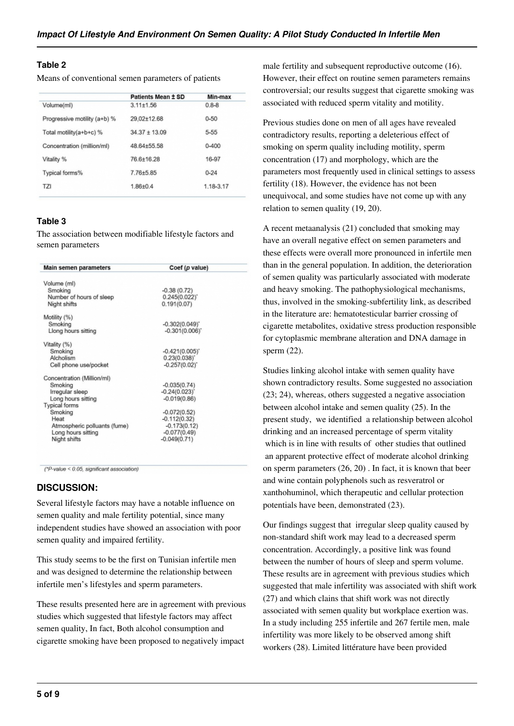# **Table 2**

Means of conventional semen parameters of patients

|                              | Patients Mean ± SD | Min-max   |
|------------------------------|--------------------|-----------|
| Volume(ml)                   | $3.11 + 1.56$      | $0.8 - 8$ |
| Progressive motility (a+b) % | 29,02±12.68        | $0 - 50$  |
| Total motility(a+b+c) %      | $34.37 \pm 13.09$  | 5-55      |
| Concentration (million/ml)   | 48.64+55.58        | $0 - 400$ |
| Vitality %                   | 76.6+16.28         | 16-97     |
| Typical forms%               | $7.76 + 5.85$      | $0 - 24$  |
| TZI                          | $1.86 + 0.4$       | 1.18-3.17 |
|                              |                    |           |

# **Table 3**

The association between modifiable lifestyle factors and semen parameters

| $-0.38(0.72)$       |
|---------------------|
| $0.245(0.022)^{2}$  |
| 0.191(0.07)         |
|                     |
| $-0.302(0.049)^{n}$ |
| $-0.301(0.006)$     |
|                     |
| $-0.421(0.005)$     |
| $0.23(0.038)^{*}$   |
| $-0.257(0.02)^{4}$  |
|                     |
| $-0.035(0.74)$      |
| $-0.24(0.023)$      |
| $-0.019(0.86)$      |
|                     |
| $-0.072(0.52)$      |
| $-0.112(0.32)$      |
| $-0.173(0.12)$      |
| $-0.077(0.49)$      |
| $-0.049(0.71)$      |
|                     |

(\*P-value < 0.05, significant association)

# **DISCUSSION:**

Several lifestyle factors may have a notable influence on semen quality and male fertility potential, since many independent studies have showed an association with poor semen quality and impaired fertility.

This study seems to be the first on Tunisian infertile men and was designed to determine the relationship between infertile men's lifestyles and sperm parameters.

These results presented here are in agreement with previous studies which suggested that lifestyle factors may affect semen quality, In fact, Both alcohol consumption and cigarette smoking have been proposed to negatively impact male fertility and subsequent reproductive outcome (16). However, their effect on routine semen parameters remains controversial; our results suggest that cigarette smoking was associated with reduced sperm vitality and motility.

Previous studies done on men of all ages have revealed contradictory results, reporting a deleterious effect of smoking on sperm quality including motility, sperm concentration (17) and morphology, which are the parameters most frequently used in clinical settings to assess fertility (18). However, the evidence has not been unequivocal, and some studies have not come up with any relation to semen quality (19, 20).

A recent metaanalysis (21) concluded that smoking may have an overall negative effect on semen parameters and these effects were overall more pronounced in infertile men than in the general population. In addition, the deterioration of semen quality was particularly associated with moderate and heavy smoking. The pathophysiological mechanisms, thus, involved in the smoking-subfertility link, as described in the literature are: hematotesticular barrier crossing of cigarette metabolites, oxidative stress production responsible for cytoplasmic membrane alteration and DNA damage in sperm (22).

Studies linking alcohol intake with semen quality have shown contradictory results. Some suggested no association (23; 24), whereas, others suggested a negative association between alcohol intake and semen quality (25). In the present study, we identified a relationship between alcohol drinking and an increased percentage of sperm vitality which is in line with results of other studies that outlined an apparent protective effect of moderate alcohol drinking on sperm parameters (26, 20) . In fact, it is known that beer and wine contain polyphenols such as resveratrol or xanthohuminol, which therapeutic and cellular protection potentials have been, demonstrated (23).

Our findings suggest that irregular sleep quality caused by non-standard shift work may lead to a decreased sperm concentration. Accordingly, a positive link was found between the number of hours of sleep and sperm volume. These results are in agreement with previous studies which suggested that male infertility was associated with shift work (27) and which clains that shift work was not directly associated with semen quality but workplace exertion was. In a study including 255 infertile and 267 fertile men, male infertility was more likely to be observed among shift workers (28). Limited littérature have been provided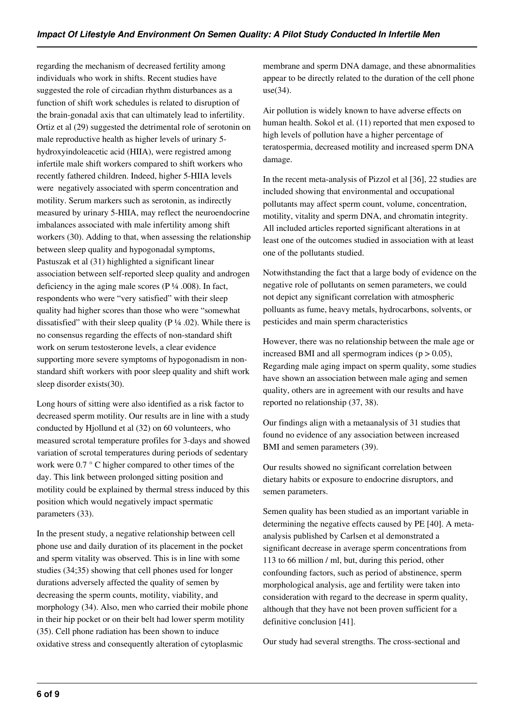regarding the mechanism of decreased fertility among individuals who work in shifts. Recent studies have suggested the role of circadian rhythm disturbances as a function of shift work schedules is related to disruption of the brain-gonadal axis that can ultimately lead to infertility. Ortiz et al (29) suggested the detrimental role of serotonin on male reproductive health as higher levels of urinary 5 hydroxyindoleacetic acid (HIIA), were registred among infertile male shift workers compared to shift workers who recently fathered children. Indeed, higher 5-HIIA levels were negatively associated with sperm concentration and motility. Serum markers such as serotonin, as indirectly measured by urinary 5-HIIA, may reflect the neuroendocrine imbalances associated with male infertility among shift workers (30). Adding to that, when assessing the relationship between sleep quality and hypogonadal symptoms, Pastuszak et al (31) highlighted a significant linear association between self-reported sleep quality and androgen deficiency in the aging male scores ( $P\frac{1}{4}$ .008). In fact, respondents who were "very satisfied" with their sleep quality had higher scores than those who were "somewhat dissatisfied" with their sleep quality ( $P \frac{1}{4}$  .02). While there is no consensus regarding the effects of non-standard shift work on serum testosterone levels, a clear evidence supporting more severe symptoms of hypogonadism in nonstandard shift workers with poor sleep quality and shift work sleep disorder exists(30).

Long hours of sitting were also identified as a risk factor to decreased sperm motility. Our results are in line with a study conducted by Hjollund et al (32) on 60 volunteers, who measured scrotal temperature profiles for 3-days and showed variation of scrotal temperatures during periods of sedentary work were 0.7 ° C higher compared to other times of the day. This link between prolonged sitting position and motility could be explained by thermal stress induced by this position which would negatively impact spermatic parameters (33).

In the present study, a negative relationship between cell phone use and daily duration of its placement in the pocket and sperm vitality was observed. This is in line with some studies (34;35) showing that cell phones used for longer durations adversely affected the quality of semen by decreasing the sperm counts, motility, viability, and morphology (34). Also, men who carried their mobile phone in their hip pocket or on their belt had lower sperm motility (35). Cell phone radiation has been shown to induce oxidative stress and consequently alteration of cytoplasmic

membrane and sperm DNA damage, and these abnormalities appear to be directly related to the duration of the cell phone use(34).

Air pollution is widely known to have adverse effects on human health. Sokol et al. (11) reported that men exposed to high levels of pollution have a higher percentage of teratospermia, decreased motility and increased sperm DNA damage.

In the recent meta-analysis of Pizzol et al [36], 22 studies are included showing that environmental and occupational pollutants may affect sperm count, volume, concentration, motility, vitality and sperm DNA, and chromatin integrity. All included articles reported significant alterations in at least one of the outcomes studied in association with at least one of the pollutants studied.

Notwithstanding the fact that a large body of evidence on the negative role of pollutants on semen parameters, we could not depict any significant correlation with atmospheric polluants as fume, heavy metals, hydrocarbons, solvents, or pesticides and main sperm characteristics

However, there was no relationship between the male age or increased BMI and all spermogram indices  $(p > 0.05)$ , Regarding male aging impact on sperm quality, some studies have shown an association between male aging and semen quality, others are in agreement with our results and have reported no relationship (37, 38).

Our findings align with a metaanalysis of 31 studies that found no evidence of any association between increased BMI and semen parameters (39).

Our results showed no significant correlation between dietary habits or exposure to endocrine disruptors, and semen parameters.

Semen quality has been studied as an important variable in determining the negative effects caused by PE [40]. A metaanalysis published by Carlsen et al demonstrated a significant decrease in average sperm concentrations from 113 to 66 million / ml, but, during this period, other confounding factors, such as period of abstinence, sperm morphological analysis, age and fertility were taken into consideration with regard to the decrease in sperm quality, although that they have not been proven sufficient for a definitive conclusion [41].

Our study had several strengths. The cross-sectional and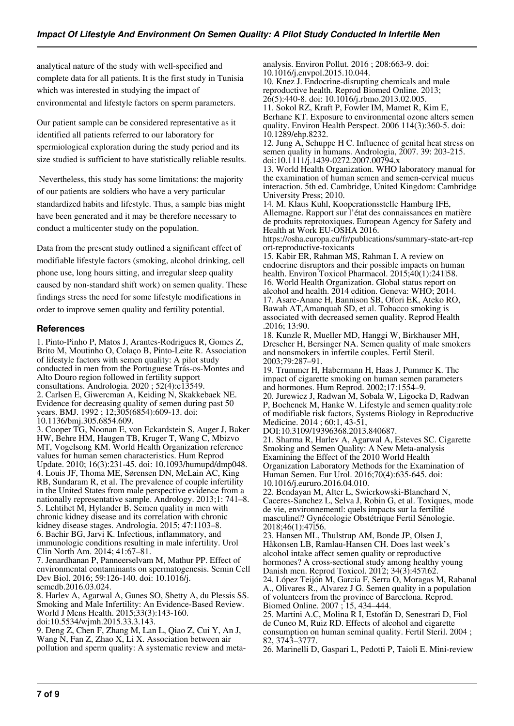analytical nature of the study with well-specified and complete data for all patients. It is the first study in Tunisia which was interested in studying the impact of environmental and lifestyle factors on sperm parameters.

Our patient sample can be considered representative as it identified all patients referred to our laboratory for spermiological exploration during the study period and its size studied is sufficient to have statistically reliable results.

 Nevertheless, this study has some limitations: the majority of our patients are soldiers who have a very particular standardized habits and lifestyle. Thus, a sample bias might have been generated and it may be therefore necessary to conduct a multicenter study on the population.

Data from the present study outlined a significant effect of modifiable lifestyle factors (smoking, alcohol drinking, cell phone use, long hours sitting, and irregular sleep quality caused by non-standard shift work) on semen quality. These findings stress the need for some lifestyle modifications in order to improve semen quality and fertility potential.

## **References**

1. Pinto-Pinho P, Matos J, Arantes-Rodrigues R, Gomes Z, Brito M, Moutinho O, Colaço B, Pinto-Leite R. Association of lifestyle factors with semen quality: A pilot study conducted in men from the Portuguese Trás-os-Montes and Alto Douro region followed in fertility support consultations. Andrologia. 2020 ; 52(4):e13549. 2. Carlsen E, Giwercman A, Keiding N, Skakkebaek NE. Evidence for decreasing quality of semen during past 50 years. BMJ. 1992 ; 12;305(6854):609-13. doi: 10.1136/bmj.305.6854.609.

3. Cooper TG, Noonan E, von Eckardstein S, Auger J, Baker HW, Behre HM, Haugen TB, Kruger T, Wang C, Mbizvo MT, Vogelsong KM. World Health Organization reference values for human semen characteristics. Hum Reprod Update. 2010; 16(3):231-45. doi: 10.1093/humupd/dmp048. 4. Louis JF, Thoma ME, Sørensen DN, McLain AC, King RB, Sundaram R, et al. The prevalence of couple infertility in the United States from male perspective evidence from a nationally representative sample. Andrology. 2013;1: 741–8. 5. Lehtihet M, Hylander B. Semen quality in men with chronic kidney disease and its correlation with chronic kidney disease stages. Andrologia. 2015; 47:1103–8. 6. Bachir BG, Jarvi K. Infectious, inflammatory, and immunologic conditions resulting in male infertility. Urol Clin North Am. 2014; 41:67–81.

7. Jenardhanan P, Panneerselvam M, Mathur PP. Effect of environmental contaminants on spermatogenesis. Semin Cell Dev Biol. 2016; 59:126-140. doi: 10.1016/j. semcdb.2016.03.024.

8. Harlev A, Agarwal A, Gunes SO, Shetty A, du Plessis SS. Smoking and Male Infertility: An Evidence-Based Review. World J Mens Health. 2015;33(3):143-160. doi:10.5534/wjmh.2015.33.3.143.

9. Deng Z, Chen F, Zhang M, Lan L, Qiao Z, Cui Y, An J, Wang N, Fan Z, Zhao X, Li X. Association between air pollution and sperm quality: A systematic review and metaanalysis. Environ Pollut. 2016 ; 208:663-9. doi: 10.1016/j.envpol.2015.10.044.

10. Knez J. Endocrine-disrupting chemicals and male reproductive health. Reprod Biomed Online. 2013;

 $26(5):440-8$ . doi: 10.1016/j.rbmo.2013.02.005. 11. Sokol RZ, Kraft P, Fowler IM, Mamet R, Kim E, Berhane KT. Exposure to environmental ozone alters semen quality. Environ Health Perspect. 2006 114(3):360-5. doi:

10.1289/ehp.8232. 12. Jung A, Schuppe H C. Influence of genital heat stress on

semen quality in humans. Andrologia, 2007. 39: 203-215. doi:10.1111/j.1439-0272.2007.00794.x

13. World Health Organization. WHO laboratory manual for the examination of human semen and semen-cervical mucus interaction. 5th ed. Cambridge, United Kingdom: Cambridge University Press; 2010.

14. M. Klaus Kuhl, Kooperationsstelle Hamburg IFE, Allemagne. Rapport sur l'état des connaissances en matière de produits reprotoxiques. European Agency for Safety and Health at Work EU-OSHA 2016.

https://osha.europa.eu/fr/publications/summary-state-art-rep ort-reproductive-toxicants

15. Kabir ER, Rahman MS, Rahman I. A review on endocrine disruptors and their possible impacts on human health. Environ Toxicol Pharmacol. 2015;40(1):241058. 16. World Health Organization. Global status report on alcohol and health. 2014 edition. Geneva: WHO; 2014. 17. Asare-Anane H, Bannison SB, Ofori EK, Ateko RO, Bawah AT,Amanquah SD, et al. Tobacco smoking is associated with decreased semen quality. Reprod Health .2016; 13:90.

18. Kunzle R, Mueller MD, Hanggi W, Birkhauser MH, Drescher H, Bersinger NA. Semen quality of male smokers and nonsmokers in infertile couples. Fertil Steril. 2003;79:287–91.

19. Trummer H, Habermann H, Haas J, Pummer K. The impact of cigarette smoking on human semen parameters and hormones. Hum Reprod. 2002;17:1554–9. 20. Jurewicz J, Radwan M, Sobala W, Ligocka D, Radwan

P, Bochenek M, Hanke W. Lifestyle and semen quality:role of modifiable risk factors, Systems Biology in Reproductive Medicine. 2014 ; 60:1, 43-51.

DOI:10.3109/19396368.2013.840687.

21. Sharma R, Harlev A, Agarwal A, Esteves SC. Cigarette Smoking and Semen Quality: A New Meta-analysis Examining the Effect of the 2010 World Health Organization Laboratory Methods for the Examination of Human Semen. Eur Urol. 2016;70(4):635-645. doi: 10.1016/j.eururo.2016.04.010.

22. Bendayan M, Alter L, Swierkowski-Blanchard N, Caceres-Sanchez L, Selva J, Robin G, et al. Toxiques, mode de vie, environnement : quels impacts sur la fertilité masculine ? Gynécologie Obstétrique Fertil Sénologie. 2018;46(1):47‑56.

23. Hansen ML, Thulstrup AM, Bonde JP, Olsen J, Håkonsen LB, Ramlau-Hansen CH. Does last week's alcohol intake affect semen quality or reproductive hormones? A cross-sectional study among healthy young Danish men. Reprod Toxicol. 2012; 34(3):457[62]. 24. López Teijón M, Garcia F, Serra O, Moragas M, Rabanal A., Olivares R., Alvarez J G. Semen quality in a population of volunteers from the province of Barcelona. Reprod. Biomed Online. 2007 ; 15, 434–444.

25. Martini A.C, Molina R I, Estofán D, Senestrari D, Fiol de Cuneo M, Ruiz RD. Effects of alcohol and cigarette consumption on human seminal quality. Fertil Steril. 2004 ; 82, 3743–3777.

26. Marinelli D, Gaspari L, Pedotti P, Taioli E. Mini-review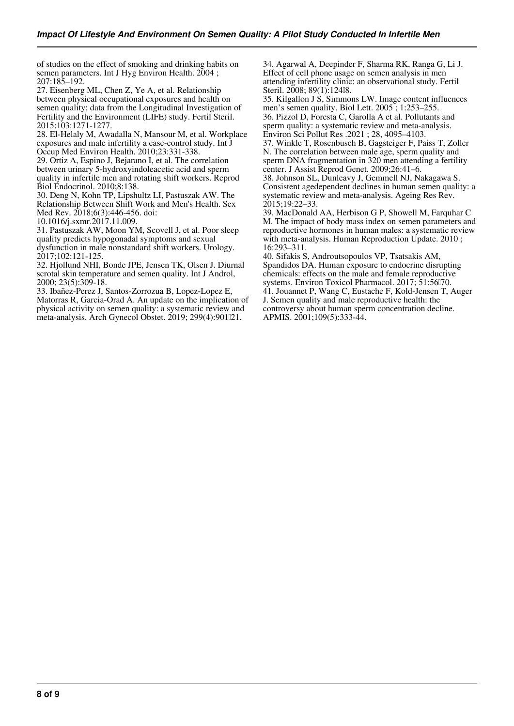of studies on the effect of smoking and drinking habits on semen parameters. Int J Hyg Environ Health. 2004; 207:185–192.

27. Eisenberg ML, Chen Z, Ye A, et al. Relationship between physical occupational exposures and health on semen quality: data from the Longitudinal Investigation of Fertility and the Environment (LIFE) study. Fertil Steril. 2015;103:1271-1277.

28. El-Helaly M, Awadalla N, Mansour M, et al. Workplace exposures and male infertility a case-control study. Int J Occup Med Environ Health. 2010;23:331-338.

29. Ortiz A, Espino J, Bejarano I, et al. The correlation between urinary 5-hydroxyindoleacetic acid and sperm quality in infertile men and rotating shift workers. Reprod Biol Endocrinol. 2010;8:138.

30. Deng N, Kohn TP, Lipshultz LI, Pastuszak AW. The Relationship Between Shift Work and Men's Health. Sex Med Rev. 2018;6(3):446-456. doi:

10.1016/j.sxmr.2017.11.009.

31. Pastuszak AW, Moon YM, Scovell J, et al. Poor sleep quality predicts hypogonadal symptoms and sexual dysfunction in male nonstandard shift workers. Urology. 2017;102:121-125.

32. Hjollund NHI, Bonde JPE, Jensen TK, Olsen J. Diurnal scrotal skin temperature and semen quality. Int J Androl, 2000; 23(5):309-18.

33. Ibañez-Perez J, Santos-Zorrozua B, Lopez-Lopez E, Matorras R, Garcia-Orad A. An update on the implication of physical activity on semen quality: a systematic review and meta-analysis. Arch Gynecol Obstet. 2019; 299(4):901121.

34. Agarwal A, Deepinder F, Sharma RK, Ranga G, Li J. Effect of cell phone usage on semen analysis in men attending infertility clinic: an observational study. Fertil Steril. 2008; 89(1):12418.

35. Kilgallon J S, Simmons LW. Image content influences men's semen quality. Biol Lett. 2005 ; 1:253–255. 36. Pizzol D, Foresta C, Garolla A et al. Pollutants and sperm quality: a systematic review and meta-analysis. Environ Sci Pollut Res .2021 ; 28, 4095–4103. 37. Winkle T, Rosenbusch B, Gagsteiger F, Paiss T, Zoller

N. The correlation between male age, sperm quality and sperm DNA fragmentation in 320 men attending a fertility center. J Assist Reprod Genet. 2009;26:41–6.

38. Johnson SL, Dunleavy J, Gemmell NJ, Nakagawa S. Consistent agedependent declines in human semen quality: a systematic review and meta-analysis. Ageing Res Rev. 2015;19:22–33.

39. MacDonald AA, Herbison G P, Showell M, Farquhar C M. The impact of body mass index on semen parameters and reproductive hormones in human males: a systematic review with meta-analysis. Human Reproduction Update. 2010 ; 16:293–311.

40. Sifakis S, Androutsopoulos VP, Tsatsakis AM, Spandidos DA. Human exposure to endocrine disrupting chemicals: effects on the male and female reproductive systems. Environ Toxicol Pharmacol. 2017; 51:56 $170$ . 41. Jouannet P, Wang C, Eustache F, Kold-Jensen T, Auger J. Semen quality and male reproductive health: the controversy about human sperm concentration decline. APMIS. 2001;109(5):333-44.